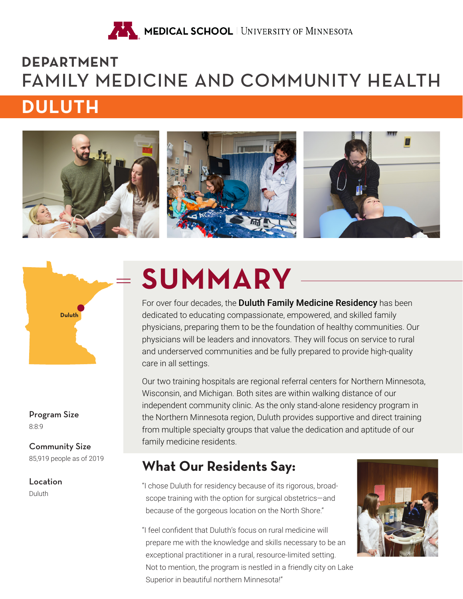

# **DEPARTMENT**  FAMILY MEDICINE AND COMMUNITY HEALTH

# **DULUTH**





8:8:9 Program Size

85,919 people as of 2019 Community Size

Duluth

# **SUMMARY**

For over four decades, the Duluth Family Medicine Residency has been dedicated to educating compassionate, empowered, and skilled family physicians, preparing them to be the foundation of healthy communities. Our physicians will be leaders and innovators. They will focus on service to rural and underserved communities and be fully prepared to provide high-quality care in all settings.

Our two training hospitals are regional referral centers for Northern Minnesota, Wisconsin, and Michigan. Both sites are within walking distance of our independent community clinic. As the only stand-alone residency program in the Northern Minnesota region, Duluth provides supportive and direct training from multiple specialty groups that value the dedication and aptitude of our family medicine residents.

# **What Our Residents Say:**

- **Location Example 20** The Sulluth for residency because of its rigorous, broadscope training with the option for surgical obstetrics—and because of the gorgeous location on the North Shore."
	- "I feel confident that Duluth's focus on rural medicine will prepare me with the knowledge and skills necessary to be an exceptional practitioner in a rural, resource-limited setting. Not to mention, the program is nestled in a friendly city on Lake Superior in beautiful northern Minnesota!"